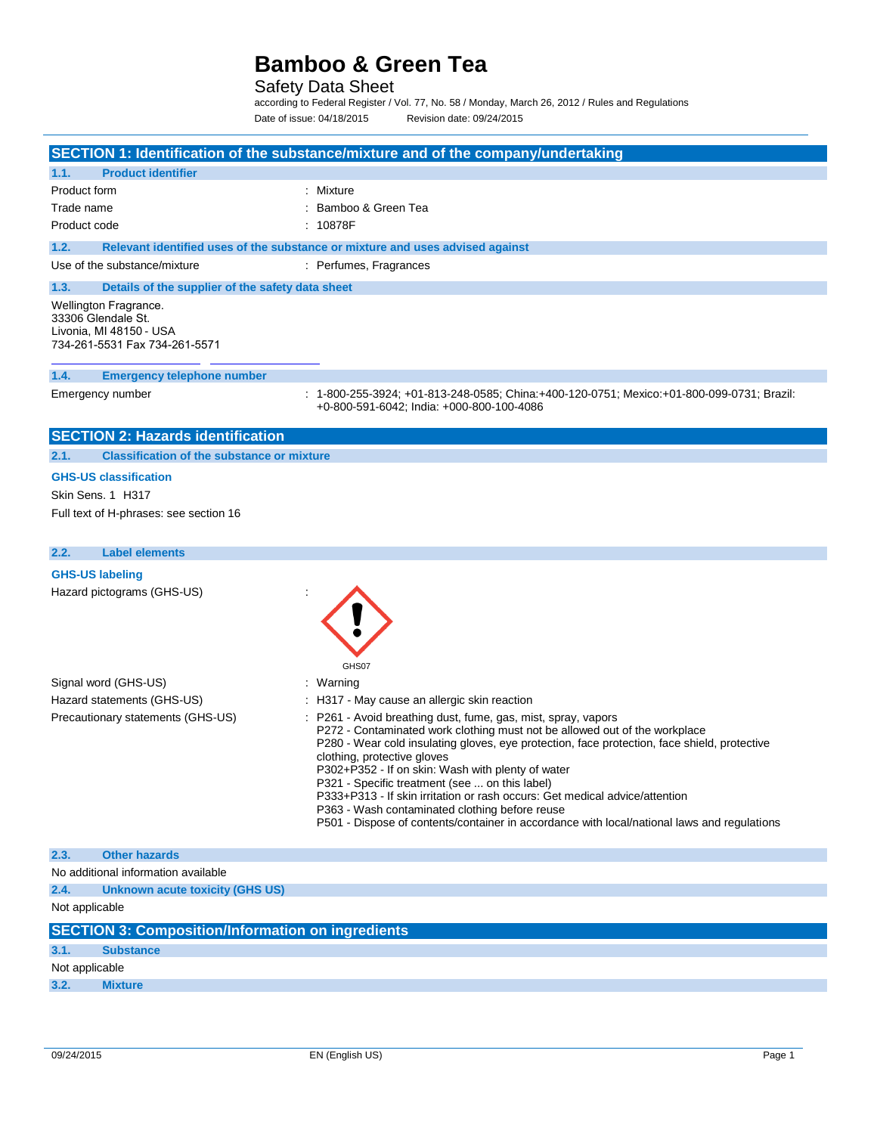Safety Data Sheet

according to Federal Register / Vol. 77, No. 58 / Monday, March 26, 2012 / Rules and Regulations Date of issue: 04/18/2015 Revision date: 09/24/2015

|                |                                                                                                         | SECTION 1: Identification of the substance/mixture and of the company/undertaking                                                                                                                                                                                                                                                                                                                                                                                                                                                                                                                                 |
|----------------|---------------------------------------------------------------------------------------------------------|-------------------------------------------------------------------------------------------------------------------------------------------------------------------------------------------------------------------------------------------------------------------------------------------------------------------------------------------------------------------------------------------------------------------------------------------------------------------------------------------------------------------------------------------------------------------------------------------------------------------|
| 1.1.           | <b>Product identifier</b>                                                                               |                                                                                                                                                                                                                                                                                                                                                                                                                                                                                                                                                                                                                   |
| Product form   |                                                                                                         | : Mixture                                                                                                                                                                                                                                                                                                                                                                                                                                                                                                                                                                                                         |
| Trade name     |                                                                                                         | Bamboo & Green Tea                                                                                                                                                                                                                                                                                                                                                                                                                                                                                                                                                                                                |
| Product code   |                                                                                                         | : 10878F                                                                                                                                                                                                                                                                                                                                                                                                                                                                                                                                                                                                          |
| 1.2.           |                                                                                                         | Relevant identified uses of the substance or mixture and uses advised against                                                                                                                                                                                                                                                                                                                                                                                                                                                                                                                                     |
|                | Use of the substance/mixture                                                                            | : Perfumes, Fragrances                                                                                                                                                                                                                                                                                                                                                                                                                                                                                                                                                                                            |
| 1.3.           | Details of the supplier of the safety data sheet                                                        |                                                                                                                                                                                                                                                                                                                                                                                                                                                                                                                                                                                                                   |
|                | Wellington Fragrance.<br>33306 Glendale St.<br>Livonia, MI 48150 - USA<br>734-261-5531 Fax 734-261-5571 |                                                                                                                                                                                                                                                                                                                                                                                                                                                                                                                                                                                                                   |
| 1.4.           | <b>Emergency telephone number</b>                                                                       |                                                                                                                                                                                                                                                                                                                                                                                                                                                                                                                                                                                                                   |
|                | Emergency number                                                                                        | : 1-800-255-3924; +01-813-248-0585; China:+400-120-0751; Mexico:+01-800-099-0731; Brazil:<br>+0-800-591-6042; India: +000-800-100-4086                                                                                                                                                                                                                                                                                                                                                                                                                                                                            |
|                | <b>SECTION 2: Hazards identification</b>                                                                |                                                                                                                                                                                                                                                                                                                                                                                                                                                                                                                                                                                                                   |
| 2.1.           | <b>Classification of the substance or mixture</b>                                                       |                                                                                                                                                                                                                                                                                                                                                                                                                                                                                                                                                                                                                   |
|                | <b>GHS-US classification</b>                                                                            |                                                                                                                                                                                                                                                                                                                                                                                                                                                                                                                                                                                                                   |
|                | Skin Sens. 1 H317                                                                                       |                                                                                                                                                                                                                                                                                                                                                                                                                                                                                                                                                                                                                   |
|                | Full text of H-phrases: see section 16                                                                  |                                                                                                                                                                                                                                                                                                                                                                                                                                                                                                                                                                                                                   |
| 2.2.           | <b>Label elements</b>                                                                                   |                                                                                                                                                                                                                                                                                                                                                                                                                                                                                                                                                                                                                   |
|                | <b>GHS-US labeling</b>                                                                                  |                                                                                                                                                                                                                                                                                                                                                                                                                                                                                                                                                                                                                   |
|                | Hazard pictograms (GHS-US)                                                                              | GHS07                                                                                                                                                                                                                                                                                                                                                                                                                                                                                                                                                                                                             |
|                | Signal word (GHS-US)                                                                                    | : Warning                                                                                                                                                                                                                                                                                                                                                                                                                                                                                                                                                                                                         |
|                | Hazard statements (GHS-US)                                                                              | : H317 - May cause an allergic skin reaction                                                                                                                                                                                                                                                                                                                                                                                                                                                                                                                                                                      |
|                | Precautionary statements (GHS-US)                                                                       | : P261 - Avoid breathing dust, fume, gas, mist, spray, vapors<br>P272 - Contaminated work clothing must not be allowed out of the workplace<br>P280 - Wear cold insulating gloves, eye protection, face protection, face shield, protective<br>clothing, protective gloves<br>P302+P352 - If on skin: Wash with plenty of water<br>P321 - Specific treatment (see  on this label)<br>P333+P313 - If skin irritation or rash occurs: Get medical advice/attention<br>P363 - Wash contaminated clothing before reuse<br>P501 - Dispose of contents/container in accordance with local/national laws and regulations |
| 2.3.           | <b>Other hazards</b>                                                                                    |                                                                                                                                                                                                                                                                                                                                                                                                                                                                                                                                                                                                                   |
|                | No additional information available                                                                     |                                                                                                                                                                                                                                                                                                                                                                                                                                                                                                                                                                                                                   |
| 2.4.           | <b>Unknown acute toxicity (GHS US)</b>                                                                  |                                                                                                                                                                                                                                                                                                                                                                                                                                                                                                                                                                                                                   |
| Not applicable |                                                                                                         |                                                                                                                                                                                                                                                                                                                                                                                                                                                                                                                                                                                                                   |
|                | <b>SECTION 3: Composition/Information on ingredients</b>                                                |                                                                                                                                                                                                                                                                                                                                                                                                                                                                                                                                                                                                                   |
| 3.1.           | <b>Substance</b>                                                                                        |                                                                                                                                                                                                                                                                                                                                                                                                                                                                                                                                                                                                                   |
| Not applicable |                                                                                                         |                                                                                                                                                                                                                                                                                                                                                                                                                                                                                                                                                                                                                   |
| 3.2.           | <b>Mixture</b>                                                                                          |                                                                                                                                                                                                                                                                                                                                                                                                                                                                                                                                                                                                                   |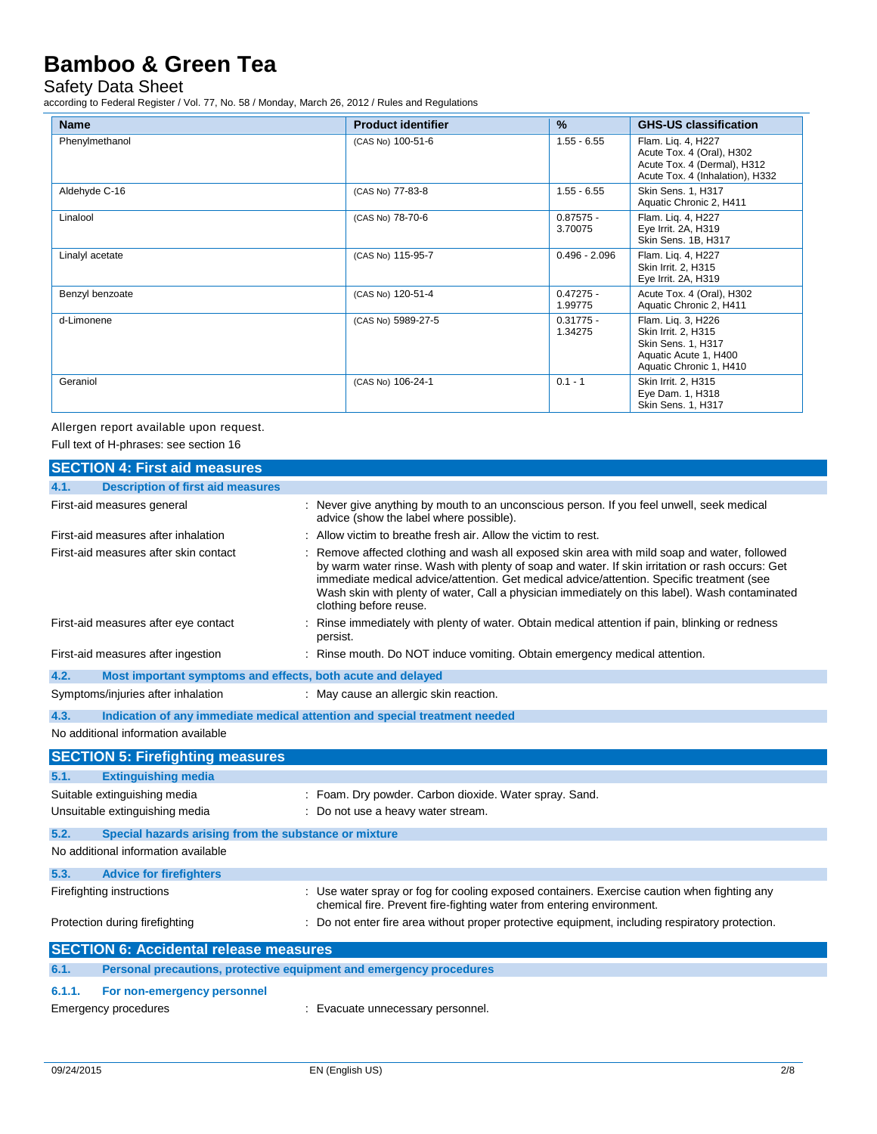## Safety Data Sheet

according to Federal Register / Vol. 77, No. 58 / Monday, March 26, 2012 / Rules and Regulations

| <b>Name</b>     | <b>Product identifier</b> | $\frac{9}{6}$          | <b>GHS-US classification</b>                                                                                        |
|-----------------|---------------------------|------------------------|---------------------------------------------------------------------------------------------------------------------|
| Phenylmethanol  | (CAS No) 100-51-6         | $1.55 - 6.55$          | Flam. Lig. 4, H227<br>Acute Tox. 4 (Oral), H302<br>Acute Tox. 4 (Dermal), H312<br>Acute Tox. 4 (Inhalation), H332   |
| Aldehyde C-16   | (CAS No) 77-83-8          | $1.55 - 6.55$          | Skin Sens. 1, H317<br>Aquatic Chronic 2, H411                                                                       |
| Linalool        | (CAS No) 78-70-6          | $0.87575 -$<br>3.70075 | Flam. Liq. 4, H227<br>Eye Irrit. 2A, H319<br>Skin Sens. 1B, H317                                                    |
| Linalyl acetate | (CAS No) 115-95-7         | $0.496 - 2.096$        | Flam. Liq. 4, H227<br>Skin Irrit. 2, H315<br>Eye Irrit. 2A, H319                                                    |
| Benzyl benzoate | (CAS No) 120-51-4         | $0.47275 -$<br>1.99775 | Acute Tox. 4 (Oral), H302<br>Aquatic Chronic 2, H411                                                                |
| d-Limonene      | (CAS No) 5989-27-5        | $0.31775 -$<br>1.34275 | Flam. Liq. 3, H226<br>Skin Irrit. 2, H315<br>Skin Sens. 1, H317<br>Aquatic Acute 1, H400<br>Aquatic Chronic 1, H410 |
| Geraniol        | (CAS No) 106-24-1         | $0.1 - 1$              | Skin Irrit. 2, H315<br>Eye Dam. 1, H318<br>Skin Sens. 1, H317                                                       |

Allergen report available upon request.

Full text of H-phrases: see section 16

|        | <b>SECTION 4: First aid measures</b>                                |                                                                                                                                                                                                                                                                                                                                                                                                                        |
|--------|---------------------------------------------------------------------|------------------------------------------------------------------------------------------------------------------------------------------------------------------------------------------------------------------------------------------------------------------------------------------------------------------------------------------------------------------------------------------------------------------------|
| 4.1.   | <b>Description of first aid measures</b>                            |                                                                                                                                                                                                                                                                                                                                                                                                                        |
|        | First-aid measures general                                          | : Never give anything by mouth to an unconscious person. If you feel unwell, seek medical<br>advice (show the label where possible).                                                                                                                                                                                                                                                                                   |
|        | First-aid measures after inhalation                                 | Allow victim to breathe fresh air. Allow the victim to rest.                                                                                                                                                                                                                                                                                                                                                           |
|        | First-aid measures after skin contact                               | Remove affected clothing and wash all exposed skin area with mild soap and water, followed<br>by warm water rinse. Wash with plenty of soap and water. If skin irritation or rash occurs: Get<br>immediate medical advice/attention. Get medical advice/attention. Specific treatment (see<br>Wash skin with plenty of water, Call a physician immediately on this label). Wash contaminated<br>clothing before reuse. |
|        | First-aid measures after eye contact                                | Rinse immediately with plenty of water. Obtain medical attention if pain, blinking or redness<br>persist.                                                                                                                                                                                                                                                                                                              |
|        | First-aid measures after ingestion                                  | : Rinse mouth. Do NOT induce vomiting. Obtain emergency medical attention.                                                                                                                                                                                                                                                                                                                                             |
| 4.2.   | Most important symptoms and effects, both acute and delayed         |                                                                                                                                                                                                                                                                                                                                                                                                                        |
|        | Symptoms/injuries after inhalation                                  | : May cause an allergic skin reaction.                                                                                                                                                                                                                                                                                                                                                                                 |
| 4.3.   |                                                                     | Indication of any immediate medical attention and special treatment needed                                                                                                                                                                                                                                                                                                                                             |
|        | No additional information available                                 |                                                                                                                                                                                                                                                                                                                                                                                                                        |
|        | <b>SECTION 5: Firefighting measures</b>                             |                                                                                                                                                                                                                                                                                                                                                                                                                        |
| 5.1.   | <b>Extinguishing media</b>                                          |                                                                                                                                                                                                                                                                                                                                                                                                                        |
|        | Suitable extinguishing media                                        | : Foam. Dry powder. Carbon dioxide. Water spray. Sand.                                                                                                                                                                                                                                                                                                                                                                 |
|        | Unsuitable extinguishing media                                      | : Do not use a heavy water stream.                                                                                                                                                                                                                                                                                                                                                                                     |
| 5.2.   | Special hazards arising from the substance or mixture               |                                                                                                                                                                                                                                                                                                                                                                                                                        |
|        | No additional information available                                 |                                                                                                                                                                                                                                                                                                                                                                                                                        |
| 5.3.   | <b>Advice for firefighters</b>                                      |                                                                                                                                                                                                                                                                                                                                                                                                                        |
|        | Firefighting instructions                                           | : Use water spray or fog for cooling exposed containers. Exercise caution when fighting any<br>chemical fire. Prevent fire-fighting water from entering environment.                                                                                                                                                                                                                                                   |
|        | Protection during firefighting                                      | : Do not enter fire area without proper protective equipment, including respiratory protection.                                                                                                                                                                                                                                                                                                                        |
|        | <b>SECTION 6: Accidental release measures</b>                       |                                                                                                                                                                                                                                                                                                                                                                                                                        |
| 6.1.   | Personal precautions, protective equipment and emergency procedures |                                                                                                                                                                                                                                                                                                                                                                                                                        |
| 6.1.1. | For non-emergency personnel                                         |                                                                                                                                                                                                                                                                                                                                                                                                                        |
|        | <b>Emergency procedures</b>                                         | : Evacuate unnecessary personnel.                                                                                                                                                                                                                                                                                                                                                                                      |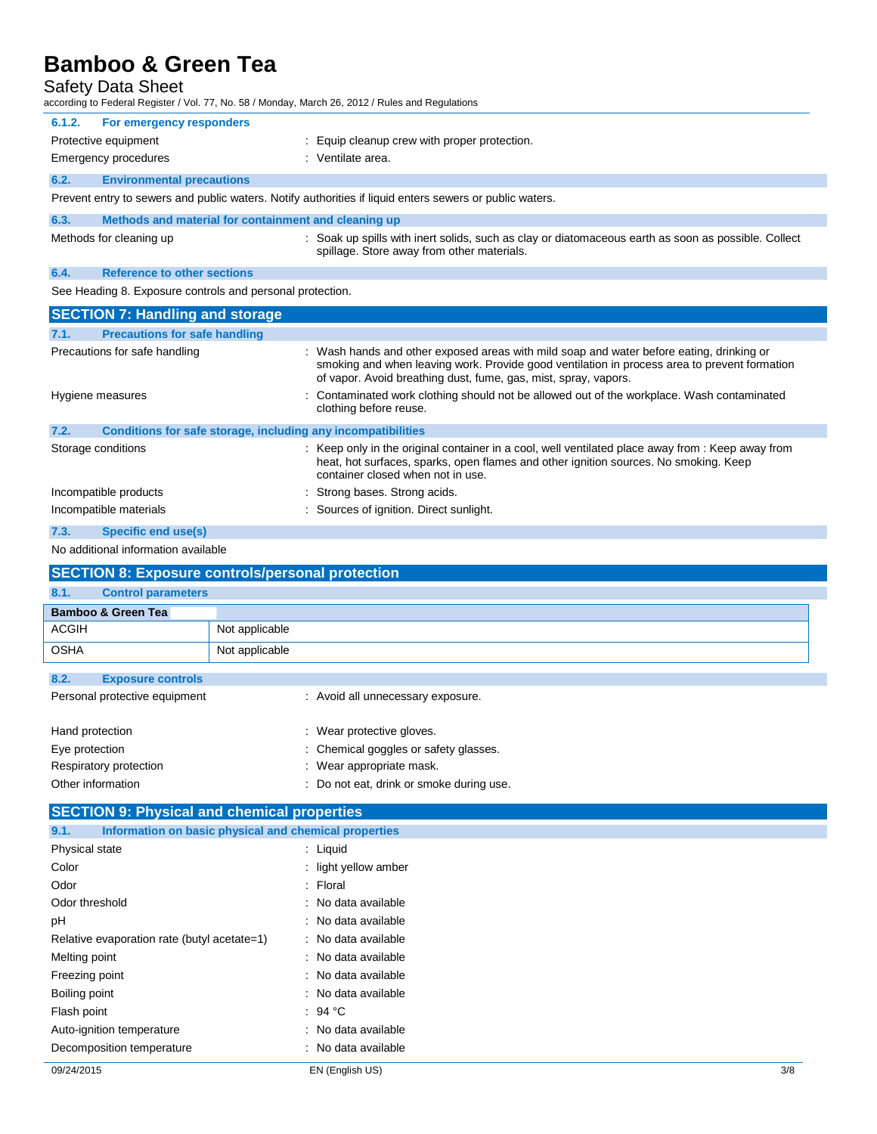Safety Data Sheet

| Safety Data Sheet                                         | according to Federal Register / Vol. 77, No. 58 / Monday, March 26, 2012 / Rules and Regulations                                                                                                                                                          |  |  |
|-----------------------------------------------------------|-----------------------------------------------------------------------------------------------------------------------------------------------------------------------------------------------------------------------------------------------------------|--|--|
| 6.1.2.<br>For emergency responders                        |                                                                                                                                                                                                                                                           |  |  |
| Protective equipment                                      | : Equip cleanup crew with proper protection.                                                                                                                                                                                                              |  |  |
| <b>Emergency procedures</b>                               | : Ventilate area.                                                                                                                                                                                                                                         |  |  |
| 6.2.<br><b>Environmental precautions</b>                  |                                                                                                                                                                                                                                                           |  |  |
|                                                           | Prevent entry to sewers and public waters. Notify authorities if liquid enters sewers or public waters.                                                                                                                                                   |  |  |
| 6.3.                                                      | Methods and material for containment and cleaning up                                                                                                                                                                                                      |  |  |
| Methods for cleaning up                                   | : Soak up spills with inert solids, such as clay or diatomaceous earth as soon as possible. Collect<br>spillage. Store away from other materials.                                                                                                         |  |  |
| 6.4.<br><b>Reference to other sections</b>                |                                                                                                                                                                                                                                                           |  |  |
| See Heading 8. Exposure controls and personal protection. |                                                                                                                                                                                                                                                           |  |  |
| <b>SECTION 7: Handling and storage</b>                    |                                                                                                                                                                                                                                                           |  |  |
| <b>Precautions for safe handling</b><br>7.1.              |                                                                                                                                                                                                                                                           |  |  |
| Precautions for safe handling                             | Wash hands and other exposed areas with mild soap and water before eating, drinking or<br>smoking and when leaving work. Provide good ventilation in process area to prevent formation<br>of vapor. Avoid breathing dust, fume, gas, mist, spray, vapors. |  |  |
| Hygiene measures                                          | Contaminated work clothing should not be allowed out of the workplace. Wash contaminated<br>clothing before reuse.                                                                                                                                        |  |  |
| 7.2.                                                      | Conditions for safe storage, including any incompatibilities                                                                                                                                                                                              |  |  |
| Storage conditions                                        | : Keep only in the original container in a cool, well ventilated place away from : Keep away from<br>heat, hot surfaces, sparks, open flames and other ignition sources. No smoking. Keep<br>container closed when not in use.                            |  |  |
| Incompatible products                                     | Strong bases. Strong acids.                                                                                                                                                                                                                               |  |  |
| Incompatible materials                                    | : Sources of ignition. Direct sunlight.                                                                                                                                                                                                                   |  |  |
| 7.3.<br>Specific end use(s)                               |                                                                                                                                                                                                                                                           |  |  |
| No additional information available                       |                                                                                                                                                                                                                                                           |  |  |
|                                                           | <b>SECTION 8: Exposure controls/personal protection</b>                                                                                                                                                                                                   |  |  |
| 8.1.<br><b>Control parameters</b>                         |                                                                                                                                                                                                                                                           |  |  |
| <b>Bamboo &amp; Green Tea</b>                             |                                                                                                                                                                                                                                                           |  |  |
| <b>ACGIH</b>                                              | Not applicable                                                                                                                                                                                                                                            |  |  |
| <b>OSHA</b>                                               | Not applicable                                                                                                                                                                                                                                            |  |  |
| 8.2.<br><b>Exposure controls</b>                          |                                                                                                                                                                                                                                                           |  |  |
| Personal protective equipment                             | : Avoid all unnecessary exposure.                                                                                                                                                                                                                         |  |  |
| Hand protection                                           | Wear protective gloves.                                                                                                                                                                                                                                   |  |  |
| Eye protection                                            | Chemical goggles or safety glasses.                                                                                                                                                                                                                       |  |  |
| Respiratory protection                                    | : Wear appropriate mask.                                                                                                                                                                                                                                  |  |  |
| Other information                                         | : Do not eat, drink or smoke during use.                                                                                                                                                                                                                  |  |  |
| <b>SECTION 9: Physical and chemical properties</b>        |                                                                                                                                                                                                                                                           |  |  |
| 9.1.                                                      | Information on basic physical and chemical properties                                                                                                                                                                                                     |  |  |
| Physical state                                            | : Liquid                                                                                                                                                                                                                                                  |  |  |
| Color                                                     | : light yellow amber                                                                                                                                                                                                                                      |  |  |
| Odor                                                      | : Floral                                                                                                                                                                                                                                                  |  |  |
| Odor threshold                                            | : No data available                                                                                                                                                                                                                                       |  |  |
| nН                                                        | aldelieve eteb alla .                                                                                                                                                                                                                                     |  |  |

pH : No data available Relative evaporation rate (butyl acetate=1) : No data available Melting point **in the case of the case of the case of the case of the case of the case of the case of the case of the case of the case of the case of the case of the case of the case of the case of the case of the case of** Freezing point **in the case of the case of the case of the case of the case of the case of the case of the case of the case of the case of the case of the case of the case of the case of the case of the case of the case of** Boiling point **in the case of the case of the case of the case of the case of the case of the case of the case of the case of the case of the case of the case of the case of the case of the case of the case of the case of** Flash point : 94 °C Auto-ignition temperature **interest and the Control Control**: No data available

Decomposition temperature **interest and the CO**: No data available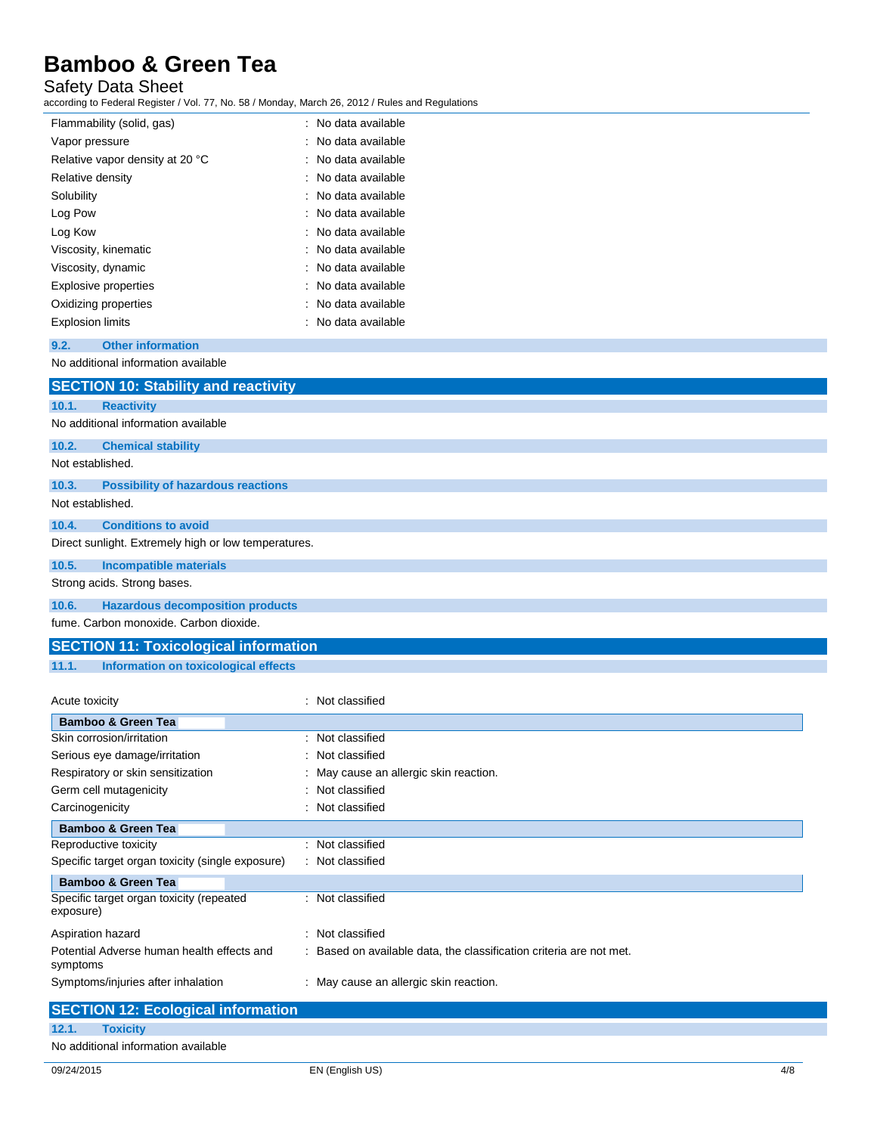### Safety Data Sheet

according to Federal Register / Vol. 77, No. 58 / Monday, March 26, 2012 / Rules and Regulations

| Flammability (solid, gas)       | : No data available |
|---------------------------------|---------------------|
| Vapor pressure                  | : No data available |
| Relative vapor density at 20 °C | : No data available |
| Relative density                | : No data available |
| Solubility                      | : No data available |
| Log Pow                         | : No data available |
| Log Kow                         | : No data available |
| Viscosity, kinematic            | : No data available |
| Viscosity, dynamic              | : No data available |
| Explosive properties            | : No data available |
| Oxidizing properties            | : No data available |
| <b>Explosion limits</b>         | : No data available |

#### **9.2. Other information**

No additional information available

|                  | <b>SECTION 10: Stability and reactivity</b>          |
|------------------|------------------------------------------------------|
| 10.1.            | <b>Reactivity</b>                                    |
|                  | No additional information available                  |
| 10.2.            | <b>Chemical stability</b>                            |
| Not established. |                                                      |
| 10.3.            | <b>Possibility of hazardous reactions</b>            |
|                  | Not established.                                     |
| 10.4.            | <b>Conditions to avoid</b>                           |
|                  | Direct sunlight. Extremely high or low temperatures. |
| 10.5.            | <b>Incompatible materials</b>                        |
|                  | Strong acids. Strong bases.                          |
| 10.6.            | <b>Hazardous decomposition products</b>              |
|                  | fume. Carbon monoxide. Carbon dioxide.               |

## **SECTION 11: Toxicological information**

**11.1. Information on toxicological effects**

| Acute toxicity                                         | : Not classified                                                    |
|--------------------------------------------------------|---------------------------------------------------------------------|
| <b>Bamboo &amp; Green Tea</b>                          |                                                                     |
| Skin corrosion/irritation                              | : Not classified                                                    |
| Serious eye damage/irritation                          | : Not classified                                                    |
| Respiratory or skin sensitization                      | : May cause an allergic skin reaction.                              |
| Germ cell mutagenicity                                 | : Not classified                                                    |
| Carcinogenicity                                        | : Not classified                                                    |
| <b>Bamboo &amp; Green Tea</b>                          |                                                                     |
| Reproductive toxicity                                  | : Not classified                                                    |
| Specific target organ toxicity (single exposure)       | : Not classified                                                    |
| <b>Bamboo &amp; Green Tea</b>                          |                                                                     |
| Specific target organ toxicity (repeated<br>exposure)  | : Not classified                                                    |
| Aspiration hazard                                      | : Not classified                                                    |
| Potential Adverse human health effects and<br>symptoms | : Based on available data, the classification criteria are not met. |
| Symptoms/injuries after inhalation                     | : May cause an allergic skin reaction.                              |

|       | <b>SECTION 12: Ecological information</b> |
|-------|-------------------------------------------|
| 12.1. | <b>Toxicity</b>                           |
|       | No additional information available       |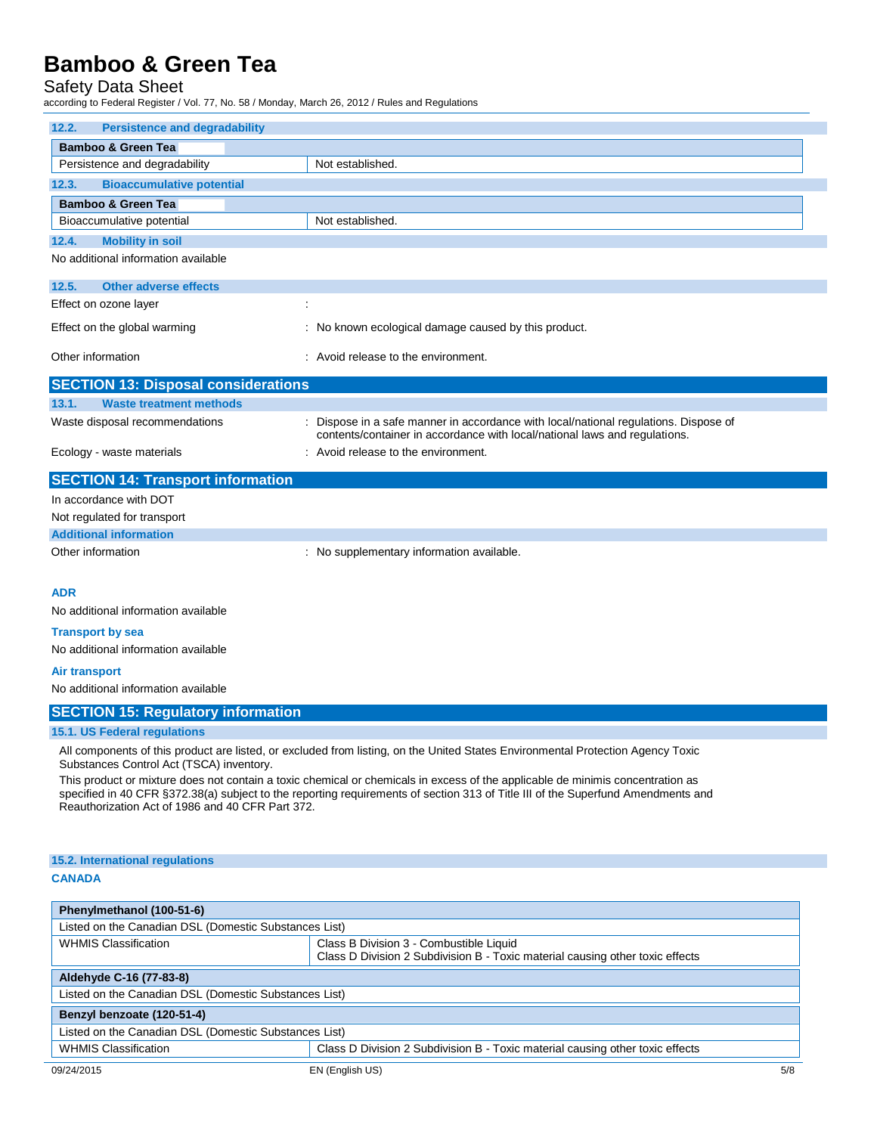## Safety Data Sheet

according to Federal Register / Vol. 77, No. 58 / Monday, March 26, 2012 / Rules and Regulations

| 12.2.<br><b>Persistence and degradability</b> |                                                                                                                                                                  |  |  |
|-----------------------------------------------|------------------------------------------------------------------------------------------------------------------------------------------------------------------|--|--|
| <b>Bamboo &amp; Green Tea</b>                 |                                                                                                                                                                  |  |  |
| Persistence and degradability                 | Not established.                                                                                                                                                 |  |  |
| <b>Bioaccumulative potential</b><br>12.3.     |                                                                                                                                                                  |  |  |
| <b>Bamboo &amp; Green Tea</b>                 |                                                                                                                                                                  |  |  |
| Bioaccumulative potential                     | Not established.                                                                                                                                                 |  |  |
| 12.4.<br><b>Mobility in soil</b>              |                                                                                                                                                                  |  |  |
| No additional information available           |                                                                                                                                                                  |  |  |
| 12.5.<br><b>Other adverse effects</b>         |                                                                                                                                                                  |  |  |
| Effect on ozone layer                         | ÷                                                                                                                                                                |  |  |
| Effect on the global warming                  | : No known ecological damage caused by this product.                                                                                                             |  |  |
| Other information                             | : Avoid release to the environment.                                                                                                                              |  |  |
| <b>SECTION 13: Disposal considerations</b>    |                                                                                                                                                                  |  |  |
| <b>Waste treatment methods</b><br>13.1.       |                                                                                                                                                                  |  |  |
| Waste disposal recommendations                | Dispose in a safe manner in accordance with local/national regulations. Dispose of<br>contents/container in accordance with local/national laws and regulations. |  |  |
| Ecology - waste materials                     | : Avoid release to the environment.                                                                                                                              |  |  |
| <b>SECTION 14: Transport information</b>      |                                                                                                                                                                  |  |  |
| In accordance with DOT                        |                                                                                                                                                                  |  |  |
| Not regulated for transport                   |                                                                                                                                                                  |  |  |
| <b>Additional information</b>                 |                                                                                                                                                                  |  |  |
| Other information                             | : No supplementary information available.                                                                                                                        |  |  |
| <b>ADR</b>                                    |                                                                                                                                                                  |  |  |
| No additional information available           |                                                                                                                                                                  |  |  |
|                                               |                                                                                                                                                                  |  |  |

**Transport by sea**

No additional information available

#### **Air transport**

No additional information available

#### **SECTION 15: Regulatory information**

#### **15.1. US Federal regulations**

All components of this product are listed, or excluded from listing, on the United States Environmental Protection Agency Toxic Substances Control Act (TSCA) inventory.

This product or mixture does not contain a toxic chemical or chemicals in excess of the applicable de minimis concentration as specified in 40 CFR §372.38(a) subject to the reporting requirements of section 313 of Title III of the Superfund Amendments and Reauthorization Act of 1986 and 40 CFR Part 372.

## **15.2. International regulations**

#### **CANADA**

| Phenylmethanol (100-51-6)                             |                                                                                                                          |     |
|-------------------------------------------------------|--------------------------------------------------------------------------------------------------------------------------|-----|
| Listed on the Canadian DSL (Domestic Substances List) |                                                                                                                          |     |
| <b>WHMIS Classification</b>                           | Class B Division 3 - Combustible Liquid<br>Class D Division 2 Subdivision B - Toxic material causing other toxic effects |     |
| Aldehyde C-16 (77-83-8)                               |                                                                                                                          |     |
| Listed on the Canadian DSL (Domestic Substances List) |                                                                                                                          |     |
| Benzyl benzoate (120-51-4)                            |                                                                                                                          |     |
| Listed on the Canadian DSL (Domestic Substances List) |                                                                                                                          |     |
| <b>WHMIS Classification</b>                           | Class D Division 2 Subdivision B - Toxic material causing other toxic effects                                            |     |
| 09/24/2015                                            | EN (English US)                                                                                                          | 5/8 |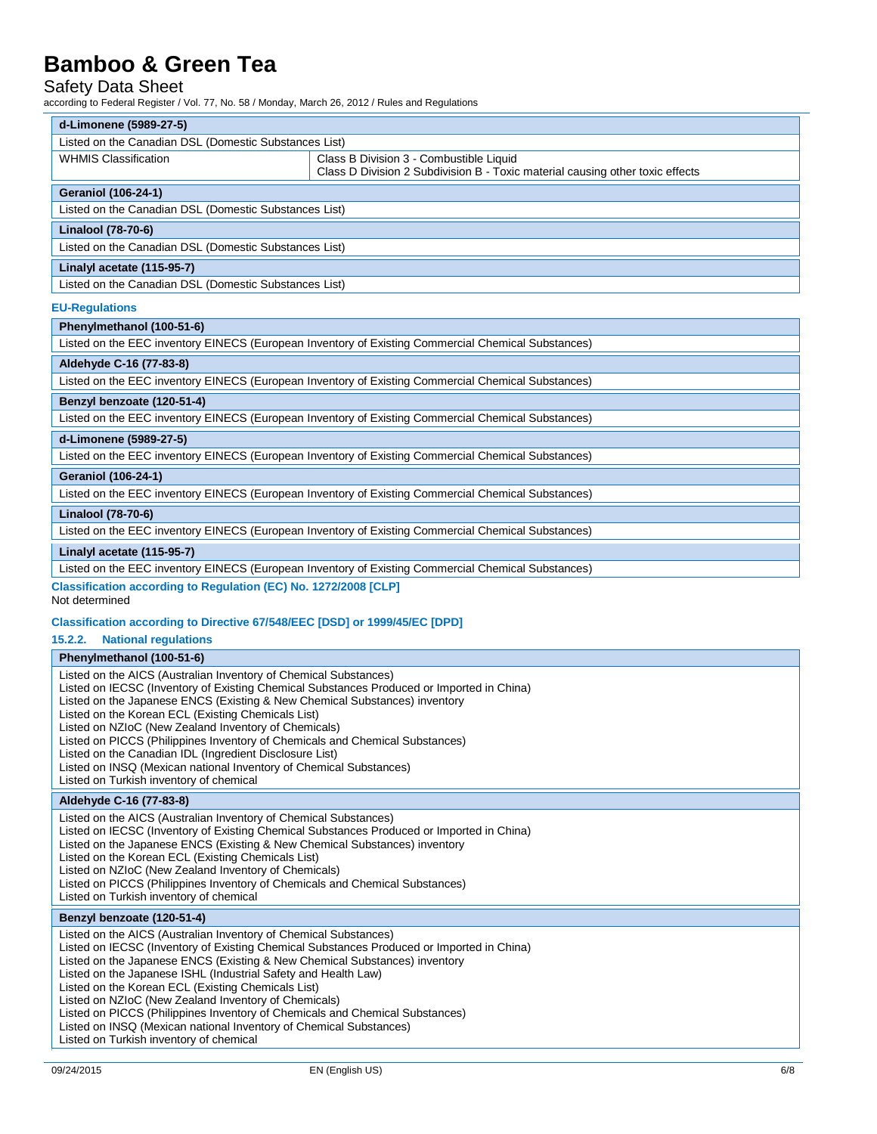### Safety Data Sheet

according to Federal Register / Vol. 77, No. 58 / Monday, March 26, 2012 / Rules and Regulations

| d-Limonene (5989-27-5)                                                                                                                                                  |                                                                                                                          |  |
|-------------------------------------------------------------------------------------------------------------------------------------------------------------------------|--------------------------------------------------------------------------------------------------------------------------|--|
| Listed on the Canadian DSL (Domestic Substances List)                                                                                                                   |                                                                                                                          |  |
| <b>WHMIS Classification</b>                                                                                                                                             | Class B Division 3 - Combustible Liquid<br>Class D Division 2 Subdivision B - Toxic material causing other toxic effects |  |
| <b>Geraniol (106-24-1)</b>                                                                                                                                              |                                                                                                                          |  |
| Listed on the Canadian DSL (Domestic Substances List)                                                                                                                   |                                                                                                                          |  |
| Linalool (78-70-6)                                                                                                                                                      |                                                                                                                          |  |
| Listed on the Canadian DSL (Domestic Substances List)                                                                                                                   |                                                                                                                          |  |
| Linalyl acetate (115-95-7)                                                                                                                                              |                                                                                                                          |  |
| Listed on the Canadian DSL (Domestic Substances List)                                                                                                                   |                                                                                                                          |  |
| <b>EU-Regulations</b>                                                                                                                                                   |                                                                                                                          |  |
| Phenylmethanol (100-51-6)                                                                                                                                               |                                                                                                                          |  |
|                                                                                                                                                                         | Listed on the EEC inventory EINECS (European Inventory of Existing Commercial Chemical Substances)                       |  |
| Aldehyde C-16 (77-83-8)                                                                                                                                                 |                                                                                                                          |  |
|                                                                                                                                                                         | Listed on the EEC inventory EINECS (European Inventory of Existing Commercial Chemical Substances)                       |  |
| Benzyl benzoate (120-51-4)                                                                                                                                              |                                                                                                                          |  |
|                                                                                                                                                                         | Listed on the EEC inventory EINECS (European Inventory of Existing Commercial Chemical Substances)                       |  |
| d-Limonene (5989-27-5)                                                                                                                                                  |                                                                                                                          |  |
|                                                                                                                                                                         | Listed on the EEC inventory EINECS (European Inventory of Existing Commercial Chemical Substances)                       |  |
| <b>Geraniol (106-24-1)</b>                                                                                                                                              |                                                                                                                          |  |
|                                                                                                                                                                         | Listed on the EEC inventory EINECS (European Inventory of Existing Commercial Chemical Substances)                       |  |
| Linalool (78-70-6)                                                                                                                                                      |                                                                                                                          |  |
|                                                                                                                                                                         | Listed on the EEC inventory EINECS (European Inventory of Existing Commercial Chemical Substances)                       |  |
| Linalyl acetate (115-95-7)                                                                                                                                              |                                                                                                                          |  |
|                                                                                                                                                                         | Listed on the EEC inventory EINECS (European Inventory of Existing Commercial Chemical Substances)                       |  |
| Classification according to Regulation (EC) No. 1272/2008 [CLP]<br>Not determined                                                                                       |                                                                                                                          |  |
| Classification according to Directive 67/548/EEC [DSD] or 1999/45/EC [DPD]                                                                                              |                                                                                                                          |  |
| 15.2.2.<br><b>National regulations</b>                                                                                                                                  |                                                                                                                          |  |
| Phenylmethanol (100-51-6)                                                                                                                                               |                                                                                                                          |  |
| Listed on the AICS (Australian Inventory of Chemical Substances)                                                                                                        |                                                                                                                          |  |
| Listed on IECSC (Inventory of Existing Chemical Substances Produced or Imported in China)                                                                               |                                                                                                                          |  |
| Listed on the Japanese ENCS (Existing & New Chemical Substances) inventory<br>Listed on the Korean ECL (Existing Chemicals List)                                        |                                                                                                                          |  |
| Listed on NZIoC (New Zealand Inventory of Chemicals)                                                                                                                    |                                                                                                                          |  |
| Listed on PICCS (Philippines Inventory of Chemicals and Chemical Substances)                                                                                            |                                                                                                                          |  |
| Listed on the Canadian IDL (Ingredient Disclosure List)<br>Listed on INSQ (Mexican national Inventory of Chemical Substances)                                           |                                                                                                                          |  |
| Listed on Turkish inventory of chemical                                                                                                                                 |                                                                                                                          |  |
| Aldehyde C-16 (77-83-8)                                                                                                                                                 |                                                                                                                          |  |
| Listed on the AICS (Australian Inventory of Chemical Substances)                                                                                                        |                                                                                                                          |  |
| Listed on IECSC (Inventory of Existing Chemical Substances Produced or Imported in China)<br>Listed on the Japanese ENCS (Existing & New Chemical Substances) inventory |                                                                                                                          |  |
| Listed on the Korean ECL (Existing Chemicals List)                                                                                                                      |                                                                                                                          |  |
| Listed on NZIoC (New Zealand Inventory of Chemicals)                                                                                                                    |                                                                                                                          |  |
| Listed on PICCS (Philippines Inventory of Chemicals and Chemical Substances)<br>Listed on Turkish inventory of chemical                                                 |                                                                                                                          |  |
| Benzyl benzoate (120-51-4)                                                                                                                                              |                                                                                                                          |  |
|                                                                                                                                                                         |                                                                                                                          |  |
|                                                                                                                                                                         |                                                                                                                          |  |
| Listed on the AICS (Australian Inventory of Chemical Substances)<br>Listed on IECSC (Inventory of Existing Chemical Substances Produced or Imported in China)           |                                                                                                                          |  |
| Listed on the Japanese ENCS (Existing & New Chemical Substances) inventory                                                                                              |                                                                                                                          |  |
| Listed on the Japanese ISHL (Industrial Safety and Health Law)<br>Listed on the Korean ECL (Existing Chemicals List)                                                    |                                                                                                                          |  |
| Listed on NZIoC (New Zealand Inventory of Chemicals)                                                                                                                    |                                                                                                                          |  |
| Listed on PICCS (Philippines Inventory of Chemicals and Chemical Substances)                                                                                            |                                                                                                                          |  |
| Listed on INSQ (Mexican national Inventory of Chemical Substances)<br>Listed on Turkish inventory of chemical                                                           |                                                                                                                          |  |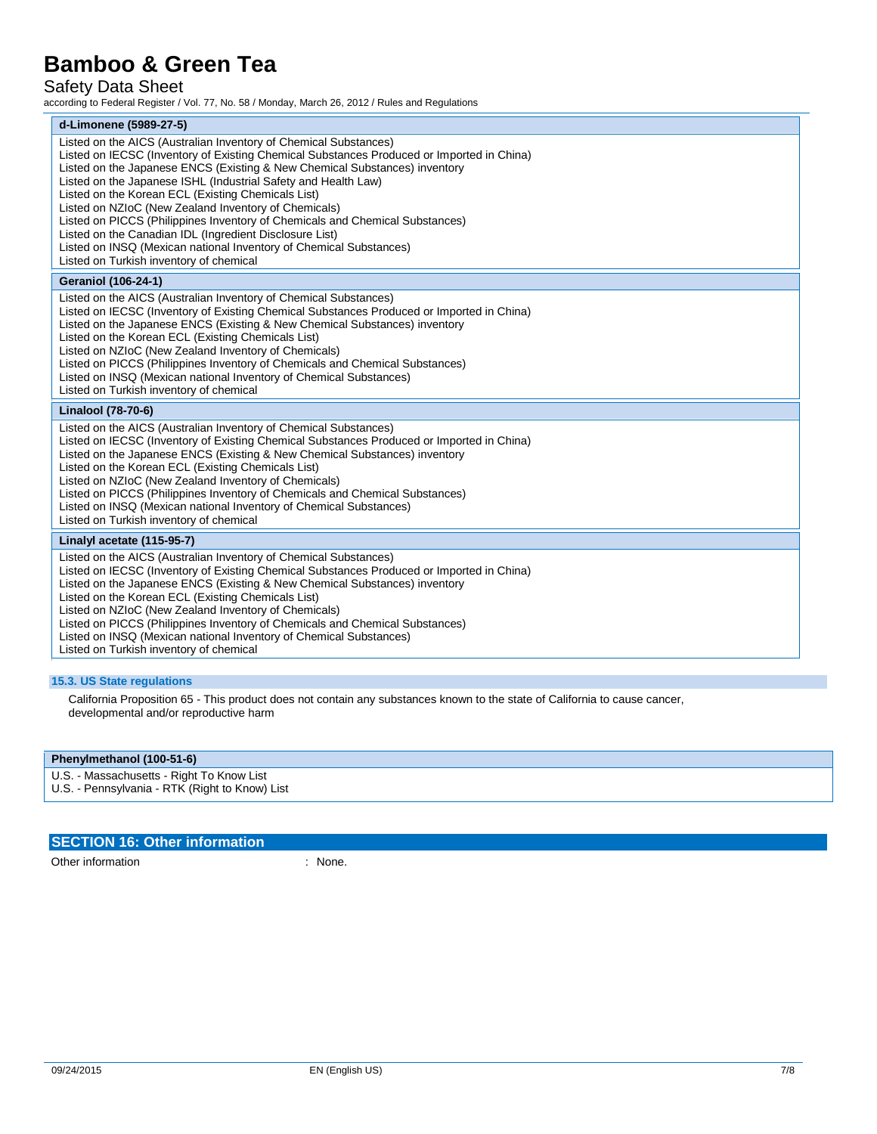# Safety Data Sheet

according to Federal Register / Vol. 77, No. 58 / Monday, March 26, 2012 / Rules and Regulations

| d-Limonene (5989-27-5)                                                                                                                                                                                                                                                                                                                                                                                                                                                                                                                                                                                                                                                                  |
|-----------------------------------------------------------------------------------------------------------------------------------------------------------------------------------------------------------------------------------------------------------------------------------------------------------------------------------------------------------------------------------------------------------------------------------------------------------------------------------------------------------------------------------------------------------------------------------------------------------------------------------------------------------------------------------------|
| Listed on the AICS (Australian Inventory of Chemical Substances)<br>Listed on IECSC (Inventory of Existing Chemical Substances Produced or Imported in China)<br>Listed on the Japanese ENCS (Existing & New Chemical Substances) inventory<br>Listed on the Japanese ISHL (Industrial Safety and Health Law)<br>Listed on the Korean ECL (Existing Chemicals List)<br>Listed on NZIoC (New Zealand Inventory of Chemicals)<br>Listed on PICCS (Philippines Inventory of Chemicals and Chemical Substances)<br>Listed on the Canadian IDL (Ingredient Disclosure List)<br>Listed on INSQ (Mexican national Inventory of Chemical Substances)<br>Listed on Turkish inventory of chemical |
| <b>Geraniol (106-24-1)</b>                                                                                                                                                                                                                                                                                                                                                                                                                                                                                                                                                                                                                                                              |
| Listed on the AICS (Australian Inventory of Chemical Substances)<br>Listed on IECSC (Inventory of Existing Chemical Substances Produced or Imported in China)<br>Listed on the Japanese ENCS (Existing & New Chemical Substances) inventory<br>Listed on the Korean ECL (Existing Chemicals List)<br>Listed on NZIoC (New Zealand Inventory of Chemicals)<br>Listed on PICCS (Philippines Inventory of Chemicals and Chemical Substances)<br>Listed on INSQ (Mexican national Inventory of Chemical Substances)<br>Listed on Turkish inventory of chemical                                                                                                                              |
| Linalool (78-70-6)                                                                                                                                                                                                                                                                                                                                                                                                                                                                                                                                                                                                                                                                      |
| Listed on the AICS (Australian Inventory of Chemical Substances)<br>Listed on IECSC (Inventory of Existing Chemical Substances Produced or Imported in China)<br>Listed on the Japanese ENCS (Existing & New Chemical Substances) inventory<br>Listed on the Korean ECL (Existing Chemicals List)<br>Listed on NZIoC (New Zealand Inventory of Chemicals)<br>Listed on PICCS (Philippines Inventory of Chemicals and Chemical Substances)<br>Listed on INSQ (Mexican national Inventory of Chemical Substances)<br>Listed on Turkish inventory of chemical                                                                                                                              |
| Linalyl acetate (115-95-7)                                                                                                                                                                                                                                                                                                                                                                                                                                                                                                                                                                                                                                                              |
| Listed on the AICS (Australian Inventory of Chemical Substances)<br>Listed on IECSC (Inventory of Existing Chemical Substances Produced or Imported in China)<br>Listed on the Japanese ENCS (Existing & New Chemical Substances) inventory<br>Listed on the Korean ECL (Existing Chemicals List)<br>Listed on NZIoC (New Zealand Inventory of Chemicals)<br>Listed on PICCS (Philippines Inventory of Chemicals and Chemical Substances)<br>Listed on INSQ (Mexican national Inventory of Chemical Substances)<br>Listed on Turkish inventory of chemical                                                                                                                              |

### **15.3. US State regulations**

California Proposition 65 - This product does not contain any substances known to the state of California to cause cancer, developmental and/or reproductive harm

#### **Phenylmethanol (100-51-6)**

U.S. - Massachusetts - Right To Know List U.S. - Pennsylvania - RTK (Right to Know) List

### **SECTION 16: Other information**

Other information : None.